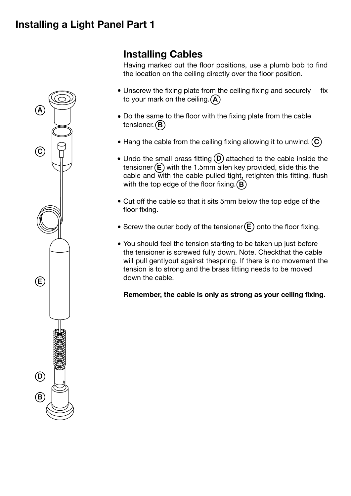## **Installing a Light Panel Part 1**



# **Installing Cables**

Having marked out the floor positions, use a plumb bob to find the location on the ceiling directly over the floor position.

- Unscrew the fixing plate from the ceiling fixing and securely fix to your mark on the ceiling. **A**
- Do the same to the floor with the fixing plate from the cable tensioner. **B**
- Hang the cable from the ceiling fixing allowing it to unwind. **C**
- Undo the small brass fitting  $(D)$  attached to the cable inside the tensioner (E) with the 1.5mm allen key provided, slide this the cable and with the cable pulled tight, retighten this fitting, flush with the top edge of the floor fixing. **B**
- Cut off the cable so that it sits 5mm below the top edge of the floor fixing.
- Screw the outer body of the tensioner (**E**) onto the floor fixing.
- You should feel the tension starting to be taken up just before the tensioner is screwed fully down. Note. Checkthat the cable • will pull gentlyout against thespring. If there is no movement the tension is to strong and the brass fitting needs to be moved down the cable.

**Remember, the cable is only as strong as your ceiling fixing.**